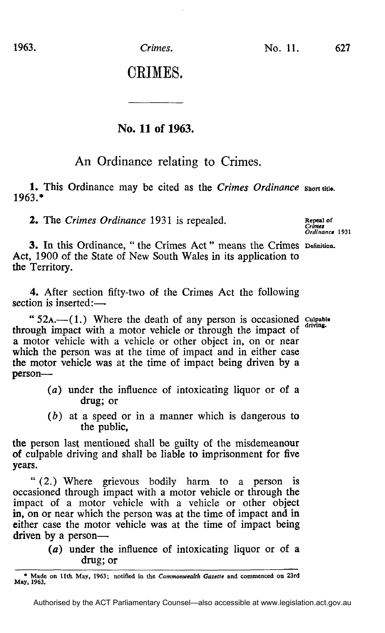0EIME8.

## **No. 11 of 1963.**

## An Ordinance relating to Crimes.

1. This Ordinance may be cited as the *Crimes Ordinance* short title. 1963.\*

**2.** The *Crimes Ordinance* 1931 is repealed. Repeal of *Repeal of Crimes* 

*Ordinance 1931* 

3. In this Ordinance, " the Crimes Act " means the Crimes Definition. Act, 1900 of the State of New South Wales in its application to the Territory.

4. After section fifty-two of the Crimes Act the following section is inserted:—

" $52A$ . (1.) Where the death of any person is occasioned cuipable through impact with a motor vehicle or through the impact of a motor vehicle with a vehicle or other object in, on or near which the person was at the time of impact and in either case the motor vehicle was at the time of impact being driven by a person—

- (a) under the influence of intoxicating liquor or of a drug; or
- *(b)* at a speed or in a manner which is dangerous to the public,

the person last mentioned shall be guilty of the misdemeanour of culpable driving and shall be liable to imprisonment for five years.

" (2.) Where grievous bodily harm to a person is occasioned through impact with a motor vehicle or through the impact of a motor vehicle with a vehicle or other object in, on or near which the person was at the time of impact and in either case the motor vehicle was at the time of impact being driven by a person—

> *(a)* under the influence of intoxicating liquor or of a drug; or

**<sup>\*</sup> Made on 11th May, 1963; notified in the** *Commonwealth Gazette* **and commenced on 23rd May, 1963.**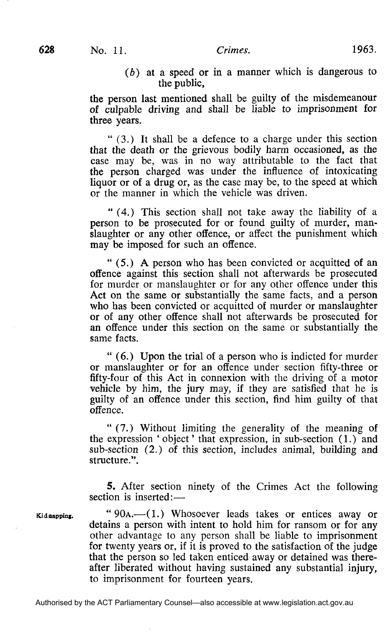## *(b)* at a speed or in a manner which is dangerous to the public,

the person last mentioned shall be guilty of the misdemeanour of culpable driving and shall be liable to imprisonment for three years.

" (3.) It shall be a defence to a charge under this section that the death or the grievous bodily harm occasioned, as the case may be, was in no way attributable to the fact that the person charged was under the influence of intoxicating liquor or of a drug or, as the case may be, to the speed at which or the manner in which the vehicle was driven.

" (4.) This section shall not take away the liability of a person to be prosecuted for or found guilty of murder, manslaughter or any other offence, or affect the punishment which may be imposed for such an offence.

" (5.) A person who has been convicted or acquitted of an offence against this section shall not afterwards be prosecuted for murder or manslaughter or for any other offence under this Act on the same or substantially the same facts, and a person who has been convicted or acquitted of murder or manslaughter or of any other offence shall not afterwards be prosecuted for an offence under this section on the same or substantially the same facts.

" (6.) Upon the trial of a person who is indicted for murder or manslaughter or for an offence under section fifty-three or fifty-four of this Act in connexion with the driving of a motor vehicle by him, the jury may, if they are satisfied that he is guilty of an offence under this section, find him guilty of that offence.

" (7.) Without limiting the generality of the meaning of the expression 'object' that expression, in sub-section (1.) and sub-section (2.) of this section, includes animal, building and structure.".

5. After section ninety of the Crimes Act the following section is inserted:—

Kidnapping.

" $90A$ — $(1)$  Whosoever leads takes or entices away or detains a person with intent to hold him for ransom or for any other advantage to any person shall be liable to imprisonment for twenty years or, if it is proved to the satisfaction of the judge that the person so led taken enticed away or detained was thereafter liberated without having sustained any substantial injury, to imprisonment for fourteen years.

Authorised by the ACT Parliamentary Counsel—also accessible at www.legislation.act.gov.au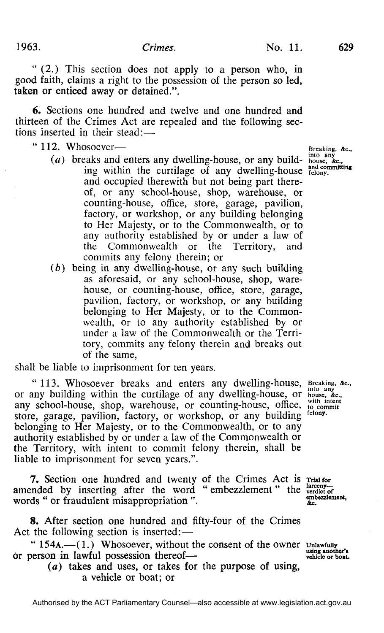" (2.) This section does not apply to a person who, in good faith, claims a right to the possession of the person so led, taken or enticed away or detained.".

6. Sections one hundred and twelve and one hundred and thirteen of the Crimes Act are repealed and the following sections inserted in their stead:—

- 
- "  $112.$  Whosoever—<br> $\overline{a}$  Breaking,  $\overline{a}$  Breaking,  $\overline{a}$  Breaking,  $\overline{a}$ *(a)* breaks and enters any dwelling-house, or any build- house, *&c,*  ing within the curtilage of any dwelling-house and committing and occupied therewith but not being part thereof, or any school-house, shop, warehouse, or counting-house, office, store, garage, pavilion, factory, or workshop, or any building belonging to Her Majesty, or to the Commonwealth, or to any authority established by or under a law of the Commonwealth or the Territory, and commits any felony therein; or
	- *(b)* being in any dwelling-house, or any such building as aforesaid, or any school-house, shop, warehouse, or counting-house, office, store, garage, pavilion, factory, or workshop, or any building belonging to Her Majesty, or to the Commonwealth, or to any authority established by or under a law of the Commonwealth or the Territory, commits any felony therein and breaks out of the same,

shall be liable to imprisonment for ten years.

"113. Whosoever breaks and enters any dwelling-house, Breaking, *&c,*  or any building within the curtilage of any dwelling-house, or house,  $\alpha_c$ ,  $\alpha_c$ ,  $\alpha_c$ ,  $\alpha_c$ ,  $\alpha_c$ ,  $\alpha_c$ ,  $\alpha_c$ ,  $\alpha_c$ ,  $\alpha_c$ ,  $\alpha_c$ ,  $\alpha_c$ ,  $\alpha_c$ ,  $\alpha_c$ ,  $\alpha_c$ ,  $\alpha_c$ ,  $\alpha_c$ ,  $\alpha_c$ ,  $\alpha_c$ ,  $\alpha_c$ ,  $\alpha_c$ ,  $\alpha_c$ ,  $\alpha_c$ any school-house, shop, warehouse, or counting-house, office, with intent store, garage, pavilion, factory, or workshop, or any building felony. belonging to Her Majesty, or to the Commonwealth, or to any felony authority established by or under a law of the Commonwealth or the Territory, with intent to commit felony therein, shall be liable to imprisonment for seven years.". liable to imprisonment for seven years.".

7. Section one hundred and twenty of the Crimes Act is Trial for amended by inserting after the word " embezzlement" the verdict of verdict of the verdict of the verdict of the verdict of the verdict of the verdict of the verdict of the statement. words " or fraudulent misappropriation ".  $\qquad \qquad \text{etc.}$ 

8. After section one hundred and fifty-four of the Crimes Act the following section is inserted:—

"  $154A$ .—(1.) Whosoever, without the consent of the owner unlawfully using another's<br>erson in lawful possession thereof **or person in lawful possession thereof—** 

 $(a)$  takes and uses, or takes for the purpose of using, a vehicle or boat; or a vehicle or boat; or

felony.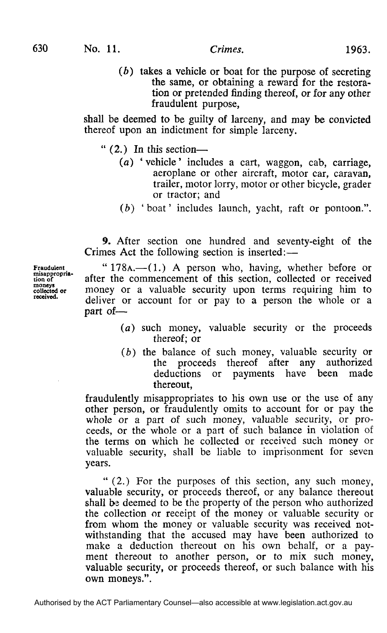**(ft)** takes a vehicle or boat for the purpose of secreting the same, or obtaining a reward for the restoration or pretended finding thereof, or for any other fraudulent purpose,

shall be deemed to be guilty of larceny, and may be convicted thereof upon an indictment for simple larceny.

- " (2.) In this section—
	- (a) ' vehicle' includes a cart, waggon, cab, carriage, aeroplane or other aircraft, motor car, caravan, trailer, motor lorry, motor or other bicycle, grader or tractor; and
	- *(b)* 'boat' includes launch, yacht, raft or pontoon.".

9. After section one hundred and seventy-eight of the Crimes Act the following section is inserted:—

**Fraudulent misappropria-tion of moneys collected or received.** 

" 178A.—(1.) A person who, having, whether before or after the commencement of this section, collected or received money or a valuable security upon terms requiring him to deliver or account for or pay to a person the whole or a part of—

- *(a)* such money, valuable security or the proceeds thereof; or
	- *(b)* the balance of such money, valuable security or the proceeds thereof after any authorized<br>deductions or nayments have been made deductions or payments have been thereout,

fraudulently misappropriates to his own use or the use of any other person, or fraudulently omits to account for or pay the whole or a part of such money, valuable security, or proceeds, or the whole or a part of such balance in violation of the terms on which he collected or received such money or valuable security, shall be liable to imprisonment for seven years.

" (2.) For the purposes of this section, any such money, valuable security, or proceeds thereof, or any balance thereout shall be deemed to be the property of the person who authorized the collection or receipt of the money or valuable security or from whom the money or valuable security was received notwithstanding that the accused may have been authorized to make a deduction thereout on his own behalf, or a payment thereout to another person, or to mix such money, valuable security, or proceeds thereof, or such balance with his own moneys.".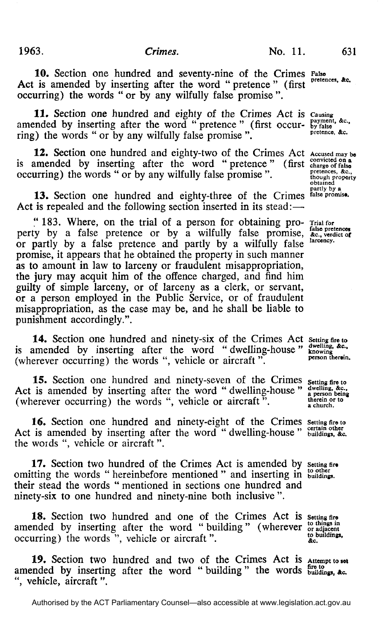10. Section one hundred and seventy-nine of the Crimes False Act is amended by inserting after the word " pretence " (first occurring) the words " or by any wilfully false promise ".

11. Section one hundred and eighty of the Crimes Act is causing amended by inserting after the word "pretence" (first occur- by false ring) the words " or by any wilfully false promise ".

12. Section one hundred and eighty-two of the Crimes Act Accused may be is amended by inserting after the word " pretence " (first charge of false occurring) the words " or by any wilfully false promise ".  $\frac{\text{preences, ac}}{\text{though property}}$ 

13. Section one hundred and eighty-three of the Crimes Act is repealed and the following section inserted in its stead:—

" 183. Where, on the trial of a person for obtaining pro- Trial for<br>ty by a false pretence or by a wilfully false promise, &c., verdict of perty by a false pretence or by a wilfully false promise, or partly by a false pretence and partly by a wilfully false promise, it appears that he obtained the property in such manner as to amount in law to larceny or fraudulent misappropriation, the jury may acquit him of the offence charged, and find him guilty of simple larceny, or of larceny as a clerk, or servant, or a person employed in the Public Service, or of fraudulent misappropriation, as the case may be, and he shall be liable to punishment accordingly.".

14. Section one hundred and ninety-six of the Crimes Act setting fire to is amended by inserting after the word " dwelling-house  $\frac{d}{dx}$  knowing  $\frac{d}{dx}$ . (wherever occurring) the words ", vehicle or aircraft". **person therein**.

**15.** Section one hundred and ninety-seven of the Crimes setting fire to Act is amended by inserting after the word " dwelling-house "  $\frac{d}{dp}$  a person being (wherever occurring) the words ", vehicle or aircraft".  $\frac{\text{therefore}}{\text{a church}}$ 

16. Section one hundred and ninety-eight of the Crimes setting fire to Act is amended by inserting after the word " dwelling-house "  $\frac{\text{central outer}}{\text{building}}$ , &c. the words ", vehicle or aircraft".

17. Section two hundred of the Crimes Act is amended by Setting fire omitting the words " hereinbefore mentioned " and inserting in buildings. their stead the words " mentioned in sections one hundred and ninety-six to one hundred and ninety-nine both inclusive ".

18. Section two hundred and one of the Crimes Act is setting fire amended by inserting after the word " building" (wherever  $\frac{1}{2}$  or adjacent occurring) the words ", vehicle or aircraft".  $\qquad \qquad \text{&c}$  to buildings,

19. Section two hundred and two of the Crimes Act is Attempt to set amended by inserting after the word " building" the words  $\frac{\text{fire to '}}{\text{building}}$ ,  $\alpha_c$ . ", vehicle, aircraft".

pretences, &c.

**pretence, Ac.** 

**obtained partly by a**  , false promise.

**larcency.**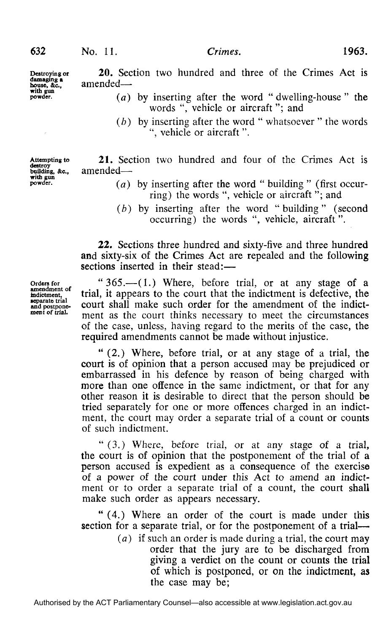20. Section two hundred and three of the Crimes Act is amended—

- *(a)* by inserting after the word " dwelling-house " the words ", vehicle or aircraft"; and
	- *(b)* by inserting after the word " whatsoever " the words ", vehicle or aircraft ".

21. Section two hundred and four of the Crimes Act is amended-

- *(a)* by inserting after the word " building " (first occurring) the words ", vehicle or aircraft "; and
- *(b)* by inserting after the word "building" (second occurring) the words ", vehicle, aircraft".

22. Sections three hundred and sixty-five and three hundred and sixty-six of the Crimes Act are repealed and the following sections inserted in their stead:—

"365.—(1.) Where, before trial, or at any stage of a trial, it appears to the court that the indictment is defective, the court shall make such order for the amendment of the indictment as the court thinks necessary to meet the circumstances of the case, unless, having regard to the merits of the case, the required amendments cannot be made without injustice.

" (2.) Where, before trial, or at any stage of a trial, the court is of opinion that a person accused may be prejudiced or embarrassed in his defence by reason of being charged with more than one offence in the same indictment, or that for any other reason it is desirable to direct that the person should be tried separately for one or more offences charged in an indictment, the court may order a separate trial of a count or counts of such indictment.

" (3.) Where, before trial, or at any stage of a trial, the court is of opinion that the postponement of the trial of a person accused is expedient as a consequence of the exercise of a power of the court under this Act to amend an indictment or to order a separate trial of a count, the court shall make such order as appears necessary.

" (4.) Where an order of the court is made under this section for a separate trial, or for the postponement of a trial—

> *(a)* if such an order is made during a trial, the court may order that the jury are to be discharged from giving a verdict on the count or counts the trial of which is postponed, or on the indictment, as the case may be;

**Orders for amendment of indictment. separate trial and postponement of trial.** 

**Destroying or damaging a bouse, &c, with gun powder.** 

**Attempting to destroy building, &c, with gun powder.**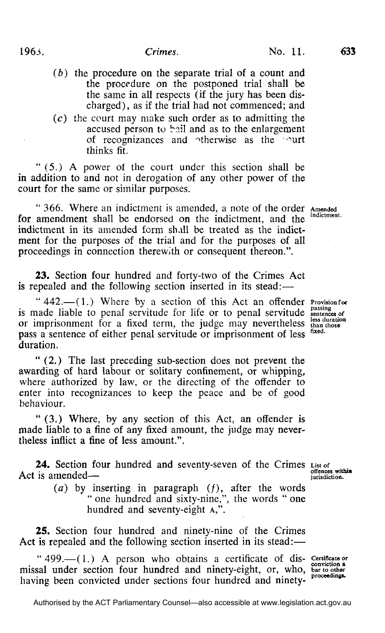- *(b)* the procedure on the separate trial of a count and the procedure on the postponed trial shall be the same in all respects (if the jury has been discharged), as if the trial had not commenced; and
- (c) the court may make such order as to admitting the accused person to bail and as to the enlargement of recognizances and otherwise as the ourt thinks fit.

" (5.) A power of the court under this section shall be in addition to and not in derogation of any other power of the court for the same or similar purposes.

" 366. Where an indictment is amended, a note of the order Amended amendment shall be endorsed on the indictment, and the indictment for amendment shall be endorsed on the indictment, and the indictment in its amended form shall be treated as the indictment for the purposes of the trial and for the purposes of all proceedings in connection therewith or consequent thereon.".

23. Section four hundred and forty-two of the Crimes Act is repealed and the following section inserted in its stead:—

"442.-(1.) Where by a section of this Act an offender Provision for is made liable to penal servitude for life or to penal servitude sentences *of*  or imprisonment for a fixed term, the judge may nevertheless than those pass a sentence of either penal servitude or imprisonment of less duration.

" (2.) The last preceding sub-section does not prevent the awarding of hard labour or solitary confinement, or whipping, where authorized by law, or the directing of the offender to enter into recognizances to keep the peace and be of good behaviour.

" (3.) Where, by any section of this Act, an offender is made liable to a fine of any fixed amount, the judge may nevertheless inflict a fine of less amount.".

**24.** Section four hundred and seventy-seven of the Crimes  $\frac{List}{E}$  of is amended— Act is amended—

> $(a)$  by inserting in paragraph  $(f)$ , after the words " one hundred and sixty-nine,", the words " one hundred and seventy-eight A,".

25. Section four hundred and ninety-nine of the Crimes Act is repealed and the following section inserted in its stead:—

"  $499$ .  $- (1)$  A person who obtains a certificate of dis-certificate or missal under section four hundred and ninety-eight, or, who, bar to other having been convicted under sections four hundred and ninety-

, proc

fixed.